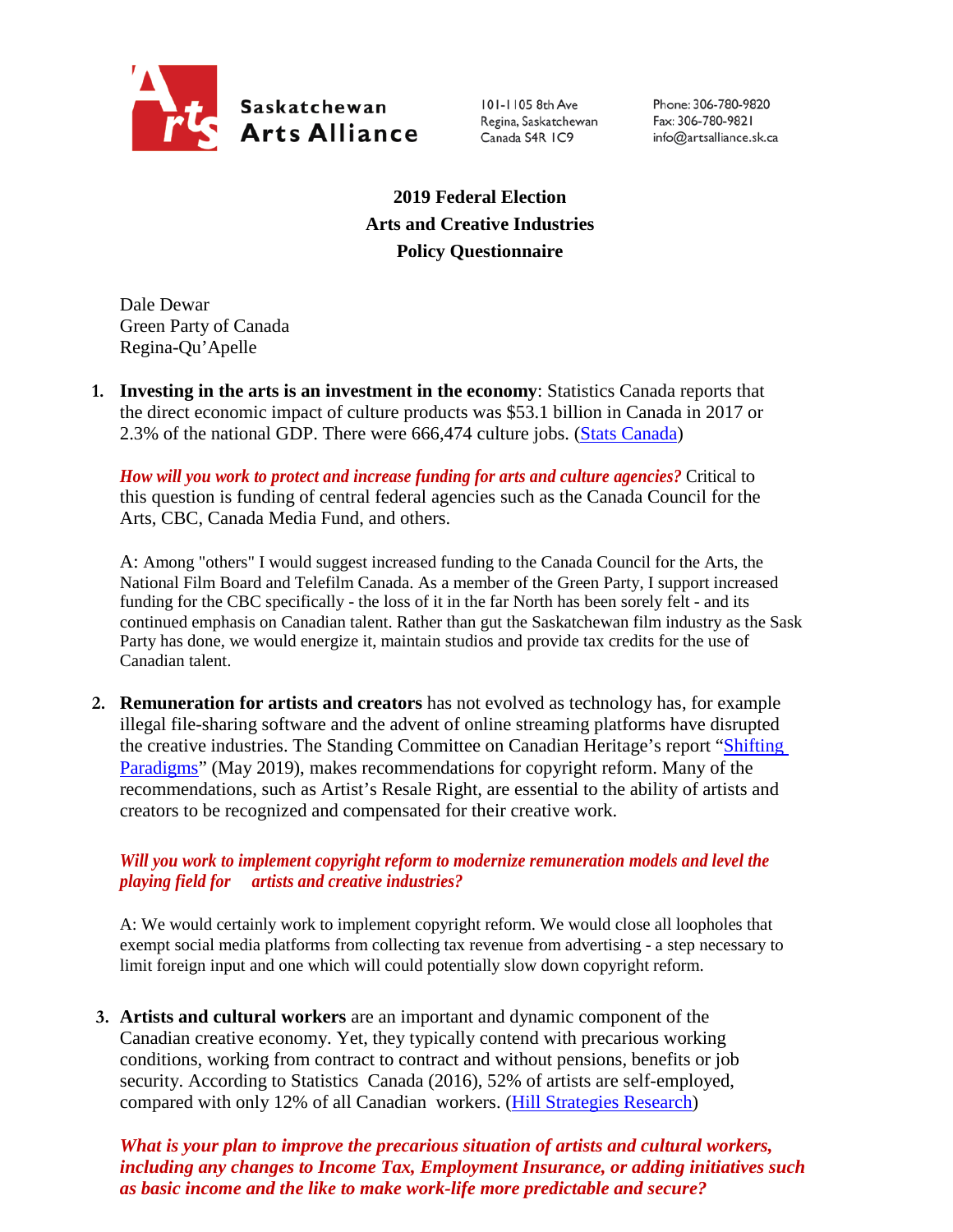

101-1105 8th Ave Regina, Saskatchewan Canada S4R IC9

Phone: 306-780-9820 Fax: 306-780-9821 info@artsalliance.sk.ca

**2019 Federal Election Arts and Creative Industries Policy Questionnaire**

Dale Dewar Green Party of Canada Regina-Qu'Apelle

**1. Investing in the arts is an investment in the economy**: Statistics Canada reports that the direct economic impact of culture products was \$53.1 billion in Canada in 2017 or 2.3% of the national GDP. There were 666,474 culture jobs. [\(Stats Canada\)](https://www.canada.ca/en/canadian-heritage/corporate/publications/general-publications/culture-satellite-account.html#a4-3)

*How will you work to protect and increase funding for arts and culture agencies?* Critical to this question is funding of central federal agencies such as the Canada Council for the Arts, CBC, Canada Media Fund, and others.

A: Among "others" I would suggest increased funding to the Canada Council for the Arts, the National Film Board and Telefilm Canada. As a member of the Green Party, I support increased funding for the CBC specifically - the loss of it in the far North has been sorely felt - and its continued emphasis on Canadian talent. Rather than gut the Saskatchewan film industry as the Sask Party has done, we would energize it, maintain studios and provide tax credits for the use of Canadian talent.

**2. Remuneration for artists and creators** has not evolved as technology has, for example illegal file-sharing software and the advent of online streaming platforms have disrupted the creative industries. The Standing Committee on Canadian Heritage's report ["Shifting](https://www.ourcommons.ca/Content/Committee/421/CHPC/Reports/RP10481650/chpcrp19/chpcrp19-e.pdf)  [Paradigms"](https://www.ourcommons.ca/Content/Committee/421/CHPC/Reports/RP10481650/chpcrp19/chpcrp19-e.pdf) (May 2019), makes recommendations for copyright reform. Many of the recommendations, such as Artist's Resale Right, are essential to the ability of artists and creators to be recognized and compensated for their creative work.

## *Will you work to implement copyright reform to modernize remuneration models and level the playing field for artists and creative industries?*

A: We would certainly work to implement copyright reform. We would close all loopholes that exempt social media platforms from collecting tax revenue from advertising - a step necessary to limit foreign input and one which will could potentially slow down copyright reform.

**3. Artists and cultural workers** are an important and dynamic component of the Canadian creative economy. Yet, they typically contend with precarious working conditions, working from contract to contract and without pensions, benefits or job security. According to Statistics Canada (2016), 52% of artists are self-employed, compared with only 12% of all Canadian workers. [\(Hill Strategies Research\)](https://hillstrategies.com/2019/07/31/a-statistical-profile-of-artists-in-canada-in-2016-with-summary-information-about-cultural-workers/)

*What is your plan to improve the precarious situation of artists and cultural workers, including any changes to Income Tax, Employment Insurance, or adding initiatives such as basic income and the like to make work-life more predictable and secure?*